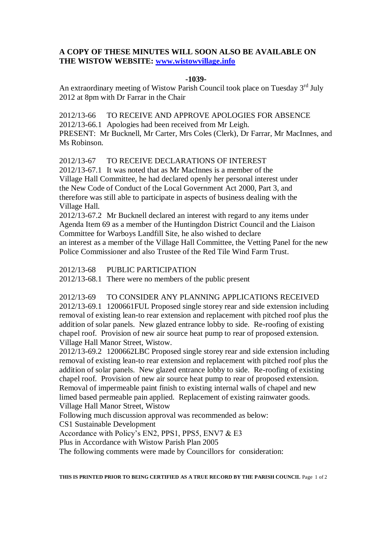## **A COPY OF THESE MINUTES WILL SOON ALSO BE AVAILABLE ON THE WISTOW WEBSITE: [www.wistowvillage.info](http://www.wistowvillage.info/)**

## **-1039-**

An extraordinary meeting of Wistow Parish Council took place on Tuesday 3<sup>rd</sup> July 2012 at 8pm with Dr Farrar in the Chair

2012/13-66 TO RECEIVE AND APPROVE APOLOGIES FOR ABSENCE 2012/13-66.1 Apologies had been received from Mr Leigh. PRESENT: Mr Bucknell, Mr Carter, Mrs Coles (Clerk), Dr Farrar, Mr MacInnes, and Ms Robinson.

2012/13-67 TO RECEIVE DECLARATIONS OF INTEREST

2012/13-67.1 It was noted that as Mr MacInnes is a member of the Village Hall Committee, he had declared openly her personal interest under the New Code of Conduct of the Local Government Act 2000, Part 3, and therefore was still able to participate in aspects of business dealing with the Village Hall.

2012/13-67.2 Mr Bucknell declared an interest with regard to any items under Agenda Item 69 as a member of the Huntingdon District Council and the Liaison Committee for Warboys Landfill Site, he also wished to declare an interest as a member of the Village Hall Committee, the Vetting Panel for the new Police Commissioner and also Trustee of the Red Tile Wind Farm Trust.

2012/13-68 PUBLIC PARTICIPATION

2012/13-68.1 There were no members of the public present

2012/13-69 TO CONSIDER ANY PLANNING APPLICATIONS RECEIVED 2012/13-69.1 1200661FUL Proposed single storey rear and side extension including removal of existing lean-to rear extension and replacement with pitched roof plus the addition of solar panels. New glazed entrance lobby to side. Re-roofing of existing chapel roof. Provision of new air source heat pump to rear of proposed extension. Village Hall Manor Street, Wistow.

2012/13-69.2 1200662LBC Proposed single storey rear and side extension including removal of existing lean-to rear extension and replacement with pitched roof plus the addition of solar panels. New glazed entrance lobby to side. Re-roofing of existing chapel roof. Provision of new air source heat pump to rear of proposed extension. Removal of impermeable paint finish to existing internal walls of chapel and new limed based permeable pain applied. Replacement of existing rainwater goods. Village Hall Manor Street, Wistow

Following much discussion approval was recommended as below:

CS1 Sustainable Development

Accordance with Policy's EN2, PPS1, PPS5, ENV7 & E3

Plus in Accordance with Wistow Parish Plan 2005

The following comments were made by Councillors for consideration:

**THIS IS PRINTED PRIOR TO BEING CERTIFIED AS A TRUE RECORD BY THE PARISH COUNCIL** Page 1 of 2